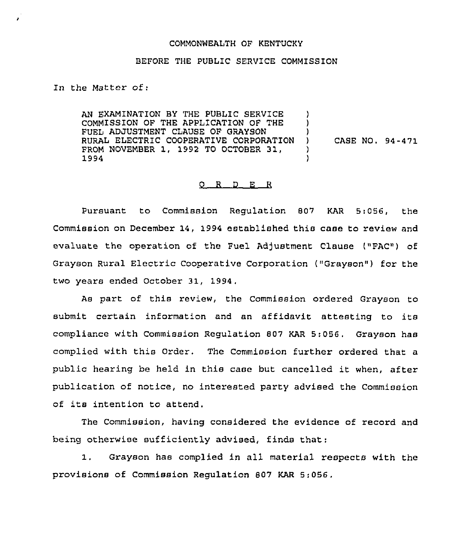## COMMONWEALTH OF KENTUCKY

## BEFORE THE PUBLIC SERVICE COMMISSION

In the Matter of:

AN EXAMINATION BY THE PUBLIC SERVICE COMMISSION OF THE APPLICATION OF THE FUEL ADJUSTMENT CLAUSE OF GRAYSON RURAL ELECTRIC COOPERATIVE CORPORATION FROM NOVEMBER 1, 1992 TO OCTOBER 31, 1994 ) ) ) ) CASE NO. 94-471 ) )

## 0 R <sup>D</sup> E R

Pursuant to Commission Regulation 807 KAR 5:056, the Commission on December 14, 1994 established this case to review and evaluate the operation of the Fuel Adjustment Clause ("FAC") of Grayson Rural Electric Cooperative Corporation ("Grayson") for the two years ended October 31, 1994,

As part of this review, the Commission ordered Grayson to submit certain information and an affidavit attesting to its compliance with Commission Regulation 807 KAR 5:056, Grayson has complied with this Order. The Commission further ordered that a public hearing be held in this case but cancelled it when, after publication of notice, no interested party advised the Commission of its intention to attend.

The Commission, having considered the evidence of record and being otherwise sufficiently advised, finds that:

 $1.$ Grayson has complied in all material respects with the provisions of Commission Regulation 807 KAR 5:056.